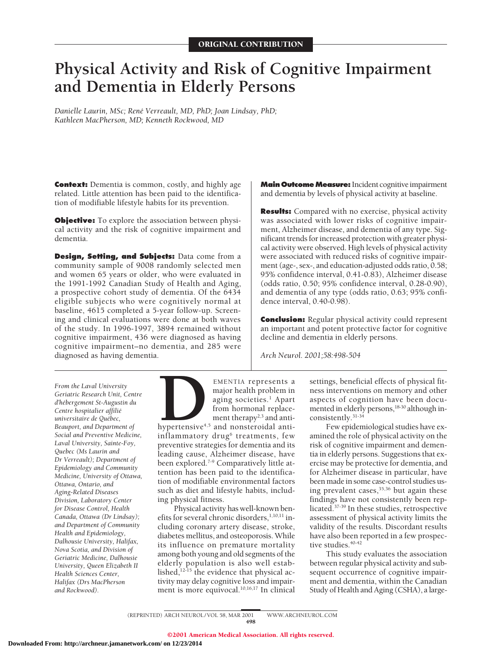# **Physical Activity and Risk of Cognitive Impairment and Dementia in Elderly Persons**

*Danielle Laurin, MSc; Rene´ Verreault, MD, PhD; Joan Lindsay, PhD; Kathleen MacPherson, MD; Kenneth Rockwood, MD*

**Context:** Dementia is common, costly, and highly age related. Little attention has been paid to the identification of modifiable lifestyle habits for its prevention.

**Objective:** To explore the association between physical activity and the risk of cognitive impairment and dementia.

**Design, Setting, and Subjects:** Data come from a community sample of 9008 randomly selected men and women 65 years or older, who were evaluated in the 1991-1992 Canadian Study of Health and Aging, a prospective cohort study of dementia. Of the 6434 eligible subjects who were cognitively normal at baseline, 4615 completed a 5-year follow-up. Screening and clinical evaluations were done at both waves of the study. In 1996-1997, 3894 remained without cognitive impairment, 436 were diagnosed as having cognitive impairment–no dementia, and 285 were diagnosed as having dementia.

**Main Outcome Measure:** Incident cognitive impairment and dementia by levels of physical activity at baseline.

**Results:** Compared with no exercise, physical activity was associated with lower risks of cognitive impairment, Alzheimer disease, and dementia of any type. Significant trends for increased protection with greater physical activity were observed. High levels of physical activity were associated with reduced risks of cognitive impairment (age-, sex-, and education-adjusted odds ratio, 0.58; 95% confidence interval, 0.41-0.83), Alzheimer disease (odds ratio, 0.50; 95% confidence interval, 0.28-0.90), and dementia of any type (odds ratio, 0.63; 95% confidence interval, 0.40-0.98).

**Conclusion:** Regular physical activity could represent an important and potent protective factor for cognitive decline and dementia in elderly persons.

*Arch Neurol. 2001;58:498-504*

*From the Laval University Geriatric Research Unit, Centre d'he´bergement St-Augustin du Centre hospitalier affilie´ universitaire de Que´bec, Beauport, and Department of Social and Preventive Medicine, Laval University, Sainte-Foy, Quebec (Ms Laurin and Dr Verreault); Department of Epidemiology and Community Medicine, University of Ottawa, Ottawa, Ontario, and Aging-Related Diseases Division, Laboratory Center for Disease Control, Health Canada, Ottawa (Dr Lindsay); and Department of Community Health and Epidemiology, Dalhousie University, Halifax, Nova Scotia, and Division of Geriatric Medicine, Dalhousie University, Queen Elizabeth II Health Sciences Center, Halifax (Drs MacPherson and Rockwood).*



EMENTIA represents a<br>major health problem in<br>aging societies.<sup>1</sup> Apart<br>from hormonal replace-<br>ment therapy<sup>2,3</sup> and anti-<br>inflammatory drug<sup>6</sup> treatments. few major health problem in aging societies.<sup>1</sup> Apart from hormonal replacement therapy<sup>2,3</sup> and anti-

hypertensive<sup>4,5</sup> and nonsteroidal antiinflammatory drug<sup>6</sup> treatments, few preventive strategies for dementia and its leading cause, Alzheimer disease, have been explored.<sup>7-9</sup> Comparatively little attention has been paid to the identification of modifiable environmental factors such as diet and lifestyle habits, including physical fitness.

Physical activity has well-known benefits for several chronic disorders, 1,10,11 including coronary artery disease, stroke, diabetes mellitus, and osteoporosis. While its influence on premature mortality among both young and old segments of the elderly population is also well established, $12-15$  the evidence that physical activity may delay cognitive loss and impairment is more equivocal.<sup>10,16,17</sup> In clinical settings, beneficial effects of physical fitness interventions on memory and other aspects of cognition have been documented in elderly persons,<sup>18-30</sup> although inconsistently.31-34

Few epidemiological studies have examined the role of physical activity on the risk of cognitive impairment and dementia in elderly persons. Suggestions that exercise may be protective for dementia, and for Alzheimer disease in particular, have been made in some case-control studies using prevalent cases,  $35,36$  but again these findings have not consistently been replicated.37-39 In these studies, retrospective assessment of physical activity limits the validity of the results. Discordant results have also been reported in a few prospective studies.<sup>40-42</sup>

This study evaluates the association between regular physical activity and subsequent occurrence of cognitive impairment and dementia, within the Canadian Study of Health and Aging (CSHA), a large-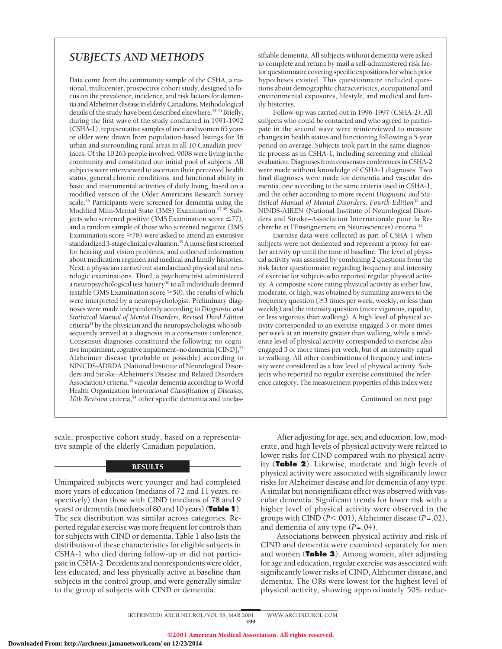# *SUBJECTS AND METHODS*

Data come from the community sample of the CSHA, a national, multicenter, prospective cohort study, designed to focus on the prevalence, incidence, and risk factors for dementia and Alzheimer disease in elderly Canadians. Methodological details of the study have been described elsewhere.<sup>43-45</sup> Briefly, during the first wave of the study conducted in 1991-1992 (CSHA-1), representative samples of men and women 65 years or older were drawn from population-based listings for 36 urban and surrounding rural areas in all 10 Canadian provinces. Of the 10263 people involved, 9008 were living in the community and constituted our initial pool of subjects. All subjects were interviewed to ascertain their perceived health status, general chronic conditions, and functional ability in basic and instrumental activities of daily living, based on a modified version of the Older Americans Research Survey scale.<sup>46</sup> Participants were screened for dementia using the Modified Mini-Mental State (3MS) Examination.<sup>47,48</sup> Subjects who screened positive (3MS Examination score  $\leq$ 77), and a random sample of those who screened negative (3MS Examination score  $\geq$ 78) were asked to attend an extensive standardized 3-stage clinical evaluation.<sup>49</sup> A nurse first screened for hearing and vision problems, and collected information about medication regimen and medical and family histories. Next, a physician carried out standardized physical and neurologic examinations. Third, a psychometrist administered a neuropsychological test battery<sup>50</sup> to all individuals deemed testable (3MS Examination score  $\geq$ 50), the results of which were interpreted by a neuropsychologist. Preliminary diagnoses were made independently according to *Diagnostic and Statistical Manual of Mental Disorders, Revised Third Edition* criteria51 by the physician and the neuropsychologist who subsequently arrived at a diagnosis in a consensus conference. Consensus diagnoses constituted the following: no cognitive impairment, cognitive impairment-no dementia [CIND],<sup>52</sup> Alzheimer disease (probable or possible) according to NINCDS-ADRDA (National Institute of Neurological Disorders and Stroke–Alzheimer's Disease and Related Disorders Association) criteria,53 vascular dementia according to World Health Organization *International Classification of Diseases,* 10th Revision criteria,<sup>54</sup> other specific dementia and unclassifiable dementia. All subjects without dementia were asked to complete and return by mail a self-administered risk factor questionnaire covering specific expositions for which prior hypotheses existed. This questionnaire included questions about demographic characteristics, occupational and environmental exposures, lifestyle, and medical and family histories.

Follow-up was carried out in 1996-1997 (CSHA-2). All subjects who could be contacted and who agreed to participate in the second wave were reinterviewed to measure changes in health status and functioning following a 5-year period on average. Subjects took part in the same diagnostic process as in CSHA-1, including screening and clinical evaluation. Diagnoses from consensus conferences in CSHA-2 were made without knowledge of CSHA-1 diagnoses. Two final diagnoses were made for dementia and vascular dementia, one according to the same criteria used in CSHA-1, and the other according to more recent *Diagnostic and Statistical Manual of Mental Disorders, Fourth Edition*<sup>55</sup> and NINDS-AIREN (National Institute of Neurological Disorders and Stroke–Association Internationale pour la Recherche et l'Enseignement en Neurosciences) criteria.56

Exercise data were collected as part of CSHA-1 when subjects were not demented and represent a proxy for earlier activity up until the time of baseline. The level of physical activity was assessed by combining 2 questions from the risk factor questionnaire regarding frequency and intensity of exercise for subjects who reported regular physical activity. A composite score rating physical activity as either low, moderate, or high, was obtained by summing answers to the frequency question  $(\geq 3$  times per week, weekly, or less than weekly) and the intensity question (more vigorous, equal to, or less vigorous than walking). A high level of physical activity corresponded to an exercise engaged 3 or more times per week at an intensity greater than walking, while a moderate level of physical activity corresponded to exercise also engaged 3 or more times per week, but of an intensity equal to walking. All other combinations of frequency and intensity were considered as a low level of physical activity. Subjects who reported no regular exercise constituted the reference category. The measurement properties of this index were

Continued on next page

scale, prospective cohort study, based on a representative sample of the elderly Canadian population.

# RESULTS

Unimpaired subjects were younger and had completed more years of education (medians of 72 and 11 years, respectively) than those with CIND (medians of 78 and 9 years) or dementia (medians of 80 and 10 years) (**Table 1**). The sex distribution was similar across categories. Reported regular exercise was more frequent for controls than for subjects with CIND or dementia. Table 1 also lists the distribution of these characteristics for eligible subjects in CSHA-1 who died during follow-up or did not participate in CSHA-2. Decedents and nonrespondents were older, less educated, and less physically active at baseline than subjects in the control group, and were generally similar to the group of subjects with CIND or dementia.

After adjusting for age, sex, and education, low, moderate, and high levels of physical activity were related to lower risks for CIND compared with no physical activity (**Table 2**). Likewise, moderate and high levels of physical activity were associated with significantly lower risks for Alzheimer disease and for dementia of any type. A similar but nonsignificant effect was observed with vascular dementia. Significant trends for lower risk with a higher level of physical activity were observed in the groups with CIND ( $P < .001$ ), Alzheimer disease ( $P = .02$ ), and dementia of any type (*P*=.04).

Associations between physical activity and risk of CIND and dementia were examined separately for men and women (**Table 3**). Among women, after adjusting for age and education, regular exercise was associated with significantly lower risks of CIND, Alzheimer disease, and dementia. The ORs were lowest for the highest level of physical activity, showing approximately 50% reduc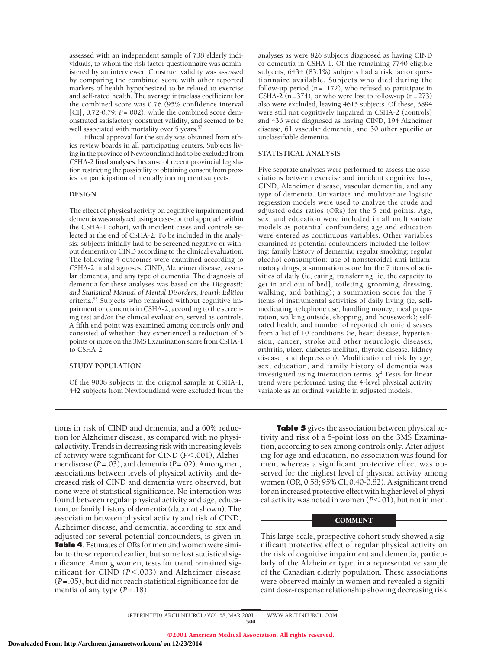assessed with an independent sample of 738 elderly individuals, to whom the risk factor questionnaire was administered by an interviewer. Construct validity was assessed by comparing the combined score with other reported markers of health hypothesized to be related to exercise and self-rated health. The average intraclass coefficient for the combined score was 0.76 (95% confidence interval [CI], 0.72-0.79; *P*=.002), while the combined score demonstrated satisfactory construct validity, and seemed to be well associated with mortality over 5 years.<sup>57</sup>

Ethical approval for the study was obtained from ethics review boards in all participating centers. Subjects living in the province of Newfoundland had to be excluded from CSHA-2 final analyses, because of recent provincial legislation restricting the possibility of obtaining consent from proxies for participation of mentally incompetent subjects.

### **DESIGN**

The effect of physical activity on cognitive impairment and dementia was analyzed using a case-control approach within the CSHA-1 cohort, with incident cases and controls selected at the end of CSHA-2. To be included in the analysis, subjects initially had to be screened negative or without dementia or CIND according to the clinical evaluation. The following 4 outcomes were examined according to CSHA-2 final diagnoses: CIND, Alzheimer disease, vascular dementia, and any type of dementia. The diagnosis of dementia for these analyses was based on the *Diagnostic and Statistical Manual of Mental Disorders, Fourth Edition* criteria.55 Subjects who remained without cognitive impairment or dementia in CSHA-2, according to the screening test and/or the clinical evaluation, served as controls. A fifth end point was examined among controls only and consisted of whether they experienced a reduction of 5 points or more on the 3MS Examination score from CSHA-1 to CSHA-2.

# **STUDY POPULATION**

Of the 9008 subjects in the original sample at CSHA-1, 442 subjects from Newfoundland were excluded from the analyses as were 826 subjects diagnosed as having CIND or dementia in CSHA-1. Of the remaining 7740 eligible subjects, 6434 (83.1%) subjects had a risk factor questionnaire available. Subjects who died during the follow-up period  $(n=1172)$ , who refused to participate in CSHA-2 ( $n=374$ ), or who were lost to follow-up ( $n=273$ ) also were excluded, leaving 4615 subjects. Of these, 3894 were still not cognitively impaired in CSHA-2 (controls) and 436 were diagnosed as having CIND, 194 Alzheimer disease, 61 vascular dementia, and 30 other specific or unclassifiable dementia.

# **STATISTICAL ANALYSIS**

Five separate analyses were performed to assess the associations between exercise and incident cognitive loss, CIND, Alzheimer disease, vascular dementia, and any type of dementia. Univariate and multivariate logistic regression models were used to analyze the crude and adjusted odds ratios (ORs) for the 5 end points. Age, sex, and education were included in all multivariate models as potential confounders; age and education were entered as continuous variables. Other variables examined as potential confounders included the following: family history of dementia; regular smoking; regular alcohol consumption; use of nonsteroidal anti-inflammatory drugs; a summation score for the 7 items of activities of daily (ie, eating, transferring [ie, the capacity to get in and out of bed], toileting, grooming, dressing, walking, and bathing); a summation score for the 7 items of instrumental activities of daily living (ie, selfmedicating, telephone use, handling money, meal preparation, walking outside, shopping, and housework); selfrated health; and number of reported chronic diseases from a list of 10 conditions (ie, heart disease, hypertension, cancer, stroke and other neurologic diseases, arthritis, ulcer, diabetes mellitus, thyroid disease, kidney disease, and depression). Modification of risk by age, sex, education, and family history of dementia was investigated using interaction terms.  $\chi^2$  Tests for linear trend were performed using the 4-level physical activity variable as an ordinal variable in adjusted models.

tions in risk of CIND and dementia, and a 60% reduction for Alzheimer disease, as compared with no physical activity. Trends in decreasing risk with increasing levels of activity were significant for CIND ( $P$ <.001), Alzheimer disease (*P*=.03), and dementia (*P*=.02). Among men, associations between levels of physical activity and decreased risk of CIND and dementia were observed, but none were of statistical significance. No interaction was found between regular physical activity and age, education, or family history of dementia (data not shown). The association between physical activity and risk of CIND, Alzheimer disease, and dementia, according to sex and adjusted for several potential confounders, is given in **Table 4**. Estimates of ORs for men and women were similar to those reported earlier, but some lost statistical significance. Among women, tests for trend remained significant for CIND (*P<.003*) and Alzheimer disease (*P*=.05), but did not reach statistical significance for dementia of any type (*P*=.18).

**Table 5** gives the association between physical activity and risk of a 5-point loss on the 3MS Examination, according to sex among controls only. After adjusting for age and education, no association was found for men, whereas a significant protective effect was observed for the highest level of physical activity among women (OR, 0.58; 95% CI, 0.40-0.82). A significant trend for an increased protective effect with higher level of physical activity was noted in women  $(P<.01)$ , but not in men.

#### **COMMENT**

This large-scale, prospective cohort study showed a significant protective effect of regular physical activity on the risk of cognitive impairment and dementia, particularly of the Alzheimer type, in a representative sample of the Canadian elderly population. These associations were observed mainly in women and revealed a significant dose-response relationship showing decreasing risk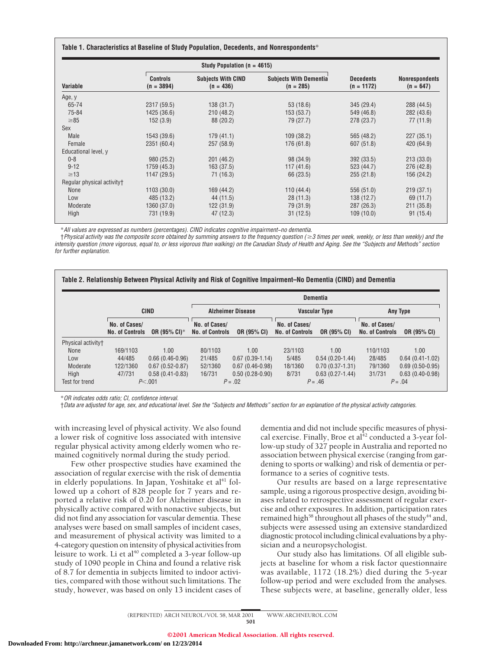|                            |                                 | Study Population ( $n = 4615$ )          |                                              |                                  |                                      |  |
|----------------------------|---------------------------------|------------------------------------------|----------------------------------------------|----------------------------------|--------------------------------------|--|
| Variable                   | <b>Controls</b><br>$(n = 3894)$ | <b>Subjects With CIND</b><br>$(n = 436)$ | <b>Subjects With Dementia</b><br>$(n = 285)$ | <b>Decedents</b><br>$(n = 1172)$ | <b>Nonrespondents</b><br>$(n = 647)$ |  |
| Age, y                     |                                 |                                          |                                              |                                  |                                      |  |
| 65-74                      | 2317 (59.5)                     | 138(31.7)                                | 53(18.6)                                     | 345 (29.4)                       | 288 (44.5)                           |  |
| 75-84                      | 1425 (36.6)                     | 210(48.2)                                | 153 (53.7)                                   | 549 (46.8)                       | 282 (43.6)                           |  |
| $\geq 85$                  | 152(3.9)                        | 88 (20.2)                                | 79 (27.7)                                    | 278 (23.7)                       | 77 (11.9)                            |  |
| Sex                        |                                 |                                          |                                              |                                  |                                      |  |
| Male                       | 1543 (39.6)                     | 179(41.1)                                | 109(38.2)                                    | 565 (48.2)                       | 227(35.1)                            |  |
| Female                     | 2351 (60.4)                     | 257 (58.9)                               | 176 (61.8)                                   | 607(51.8)                        | 420 (64.9)                           |  |
| Educational level, y       |                                 |                                          |                                              |                                  |                                      |  |
| $0 - 8$                    | 980 (25.2)                      | 201(46.2)                                | 98 (34.9)                                    | 392 (33.5)                       | 213(33.0)                            |  |
| $9 - 12$                   | 1759 (45.3)                     | 163 (37.5)                               | 117(41.6)                                    | 523 (44.7)                       | 276 (42.8)                           |  |
| $\geq$ 13                  | 1147 (29.5)                     | 71 (16.3)                                | 66 (23.5)                                    | 255(21.8)                        | 156 (24.2)                           |  |
| Regular physical activity† |                                 |                                          |                                              |                                  |                                      |  |
| None                       | 1103 (30.0)                     | 169 (44.2)                               | 110(44.4)                                    | 556 (51.0)                       | 219(37.1)                            |  |
| Low                        | 485 (13.2)                      | 44 (11.5)                                | 28(11.3)                                     | 138 (12.7)                       | 69 (11.7)                            |  |
| Moderate                   | 1360 (37.0)                     | 122(31.9)                                | 79 (31.9)                                    | 287 (26.3)                       | 211(35.8)                            |  |
| High                       | 731 (19.9)                      | 47 (12.3)                                | 31(12.5)                                     | 109(10.0)                        | 91(15.4)                             |  |

\*All values are expressed as numbers (percentages). CIND indicates cognitive impairment−no dementia.

 $\dagger$ Physical activity was the composite score obtained by summing answers to the frequency question ( $\geq$ 3 times per week, weekly, or less than weekly) and the intensity question (more vigorous, equal to, or less vigorous than walking) on the Canadian Study of Health and Aging. See the "Subjects and Methods" section for further explanation.

|                    | Table 2. Relationship Between Physical Activity and Risk of Cognitive Impairment–No Dementia (CIND) and Dementia |                     |                                         |                   |                                         |                     |                                         |                   |
|--------------------|------------------------------------------------------------------------------------------------------------------|---------------------|-----------------------------------------|-------------------|-----------------------------------------|---------------------|-----------------------------------------|-------------------|
|                    |                                                                                                                  |                     | <b>Dementia</b>                         |                   |                                         |                     |                                         |                   |
|                    | <b>CIND</b>                                                                                                      |                     | <b>Alzheimer Disease</b>                |                   | <b>Vascular Type</b>                    |                     | Any Type                                |                   |
|                    | No. of Cases/<br><b>No. of Controls</b>                                                                          | OR $(95%$ CI)*      | No. of Cases/<br><b>No. of Controls</b> | OR (95% CI)       | No. of Cases/<br><b>No. of Controls</b> | OR (95% CI)         | No. of Cases/<br><b>No. of Controls</b> | OR (95% CI)       |
| Physical activity+ |                                                                                                                  |                     |                                         |                   |                                         |                     |                                         |                   |
| <b>None</b>        | 169/1103                                                                                                         | 1.00                | 80/1103                                 | 1.00              | 23/1103                                 | 1.00                | 110/1103                                | 1.00              |
| Low                | 44/485                                                                                                           | $0.66(0.46-0.96)$   | 21/485                                  | $0.67(0.39-1.14)$ | 5/485                                   | $0.54(0.20-1.44)$   | 28/485                                  | $0.64(0.41-1.02)$ |
| Moderate           | 122/1360                                                                                                         | $0.67(0.52 - 0.87)$ | 52/1360                                 | $0.67(0.46-0.98)$ | 18/1360                                 | $0.70(0.37 - 1.31)$ | 79/1360                                 | $0.69(0.50-0.95)$ |
| High               | 47/731                                                                                                           | $0.58(0.41 - 0.83)$ | 16/731                                  | $0.50(0.28-0.90)$ | 8/731                                   | $0.63(0.27-1.44)$   | 31/731                                  | $0.63(0.40-0.98)$ |
| Test for trend     |                                                                                                                  | P<.001              |                                         | $P = .02$         |                                         | $P = .46$           |                                         | $P = .04$         |

\*OR indicates odds ratio; CI, confidence interval.

†Data are adjusted for age, sex, and educational level. See the "Subjects and Methods" section for an explanation of the physical activity categories.

with increasing level of physical activity. We also found a lower risk of cognitive loss associated with intensive regular physical activity among elderly women who remained cognitively normal during the study period.

Few other prospective studies have examined the association of regular exercise with the risk of dementia in elderly populations. In Japan, Yoshitake et al<sup>41</sup> followed up a cohort of 828 people for 7 years and reported a relative risk of 0.20 for Alzheimer disease in physically active compared with nonactive subjects, but did not find any association for vascular dementia. These analyses were based on small samples of incident cases, and measurement of physical activity was limited to a 4-category question on intensity of physical activities from leisure to work. Li et al<sup>40</sup> completed a 3-year follow-up study of 1090 people in China and found a relative risk of 8.7 for dementia in subjects limited to indoor activities, compared with those without such limitations. The study, however, was based on only 13 incident cases of dementia and did not include specific measures of physical exercise. Finally, Broe et al $^{\overline{4}2}$  conducted a 3-year follow-up study of 327 people in Australia and reported no association between physical exercise (ranging from gardening to sports or walking) and risk of dementia or performance to a series of cognitive tests.

Our results are based on a large representative sample, using a rigorous prospective design, avoiding biases related to retrospective assessment of regular exercise and other exposures. In addition, participation rates remained high<sup>58</sup> throughout all phases of the study<sup>44</sup> and, subjects were assessed using an extensive standardized diagnostic protocol including clinical evaluations by a physician and a neuropsychologist.

Our study also has limitations. Of all eligible subjects at baseline for whom a risk factor questionnaire was available, 1172 (18.2%) died during the 5-year follow-up period and were excluded from the analyses. These subjects were, at baseline, generally older, less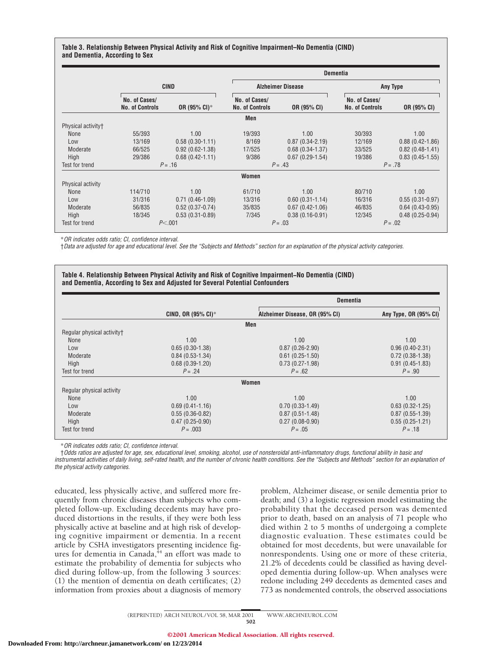# **Table 3. Relationship Between Physical Activity and Risk of Cognitive Impairment–No Dementia (CIND) and Dementia, According to Sex**

|                       |                                         |                          | <b>Dementia</b>                         |                     |                                         |                     |  |
|-----------------------|-----------------------------------------|--------------------------|-----------------------------------------|---------------------|-----------------------------------------|---------------------|--|
|                       | <b>CIND</b>                             |                          | <b>Alzheimer Disease</b>                |                     | Any Type                                |                     |  |
|                       | No. of Cases/<br><b>No. of Controls</b> | OR $(95\% \text{ Cl})^*$ | No. of Cases/<br><b>No. of Controls</b> | OR (95% CI)         | No. of Cases/<br><b>No. of Controls</b> | OR (95% CI)         |  |
|                       |                                         |                          | Men                                     |                     |                                         |                     |  |
| Physical activity+    |                                         |                          |                                         |                     |                                         |                     |  |
| None                  | 55/393                                  | 1.00                     | 19/393                                  | 1.00                | 30/393                                  | 1.00                |  |
| Low                   | 13/169                                  | $0.58(0.30-1.11)$        | 8/169                                   | $0.87(0.34 - 2.19)$ | 12/169                                  | $0.88(0.42 - 1.86)$ |  |
| Moderate              | 66/525                                  | $0.92(0.62 - 1.38)$      | 17/525                                  | $0.68(0.34-1.37)$   | 33/525                                  | $0.82(0.48-1.41)$   |  |
| High                  | 29/386                                  | $0.68(0.42 - 1.11)$      | 9/386                                   | $0.67(0.29-1.54)$   | 19/386                                  | $0.83(0.45-1.55)$   |  |
| Test for trend        | $P = .16$                               |                          | $P = .43$                               |                     | $P = .78$                               |                     |  |
|                       |                                         |                          | Women                                   |                     |                                         |                     |  |
| Physical activity     |                                         |                          |                                         |                     |                                         |                     |  |
| None                  | 114/710                                 | 1.00                     | 61/710                                  | 1.00                | 80/710                                  | 1.00                |  |
| Low                   | 31/316                                  | $0.71(0.46-1.09)$        | 13/316                                  | $0.60(0.31 - 1.14)$ | 16/316                                  | $0.55(0.31-0.97)$   |  |
| Moderate              | 56/835                                  | $0.52(0.37 - 0.74)$      | 35/835                                  | $0.67(0.42 - 1.06)$ | 46/835                                  | $0.64(0.43-0.95)$   |  |
| High                  | 18/345                                  | $0.53(0.31-0.89)$        | 7/345                                   | $0.38(0.16-0.91)$   | 12/345                                  | $0.48(0.25-0.94)$   |  |
| <b>Test for trend</b> |                                         | P<.001                   |                                         | $P = .03$           |                                         | $P = .02$           |  |

\*OR indicates odds ratio; CI, confidence interval.

†Data are adjusted for age and educational level. See the "Subjects and Methods" section for an explanation of the physical activity categories.

# **Table 4. Relationship Between Physical Activity and Risk of Cognitive Impairment−No Dementia (CIND) and Dementia, According to Sex and Adjusted for Several Potential Confounders**

|                            |                                | <b>Dementia</b>                |                       |
|----------------------------|--------------------------------|--------------------------------|-----------------------|
|                            | CIND, OR $(95\% \text{ Cl})^*$ | Alzheimer Disease, OR (95% CI) | Any Type, OR (95% CI) |
|                            |                                | Men                            |                       |
| Regular physical activity† |                                |                                |                       |
| None                       | 1.00                           | 1.00                           | 1.00                  |
| Low                        | $0.65(0.30-1.38)$              | $0.87(0.26-2.90)$              | $0.96(0.40-2.31)$     |
| Moderate                   | $0.84(0.53-1.34)$              | $0.61(0.25-1.50)$              | $0.72(0.38-1.38)$     |
| High                       | $0.68(0.39-1.20)$              | $0.73(0.27-1.98)$              | $0.91(0.45-1.83)$     |
| Test for trend             | $P = .24$                      | $P = .62$                      | $P = .90$             |
|                            |                                | Women                          |                       |
| Regular physical activity  |                                |                                |                       |
| None                       | 1.00                           | 1.00                           | 1.00                  |
| Low                        | $0.69(0.41-1.16)$              | $0.70(0.33-1.49)$              | $0.63(0.32 - 1.25)$   |
| Moderate                   | $0.55(0.36-0.82)$              | $0.87(0.51 - 1.48)$            | $0.87(0.55-1.39)$     |
| High                       | $0.47(0.25-0.90)$              | $0.27(0.08-0.90)$              | $0.55(0.25-1.21)$     |
| Test for trend             | $P = .003$                     | $P = .05$                      | $P = .18$             |

\*OR indicates odds ratio; CI, confidence interval.

†Odds ratios are adjusted for age, sex, educational level, smoking, alcohol, use of nonsteroidal anti-inflammatory drugs, functional ability in basic and instrumental activities of daily living, self-rated health, and the number of chronic health conditions. See the "Subjects and Methods" section for an explanation of the physical activity categories.

educated, less physically active, and suffered more frequently from chronic diseases than subjects who completed follow-up. Excluding decedents may have produced distortions in the results, if they were both less physically active at baseline and at high risk of developing cognitive impairment or dementia. In a recent article by CSHA investigators presenting incidence figures for dementia in Canada, $44$  an effort was made to estimate the probability of dementia for subjects who died during follow-up, from the following 3 sources: (1) the mention of dementia on death certificates; (2) information from proxies about a diagnosis of memory problem, Alzheimer disease, or senile dementia prior to death; and (3) a logistic regression model estimating the probability that the deceased person was demented prior to death, based on an analysis of 71 people who died within 2 to 5 months of undergoing a complete diagnostic evaluation. These estimates could be obtained for most decedents, but were unavailable for nonrespondents. Using one or more of these criteria, 21.2% of decedents could be classified as having developed dementia during follow-up. When analyses were redone including 249 decedents as demented cases and 773 as nondemented controls, the observed associations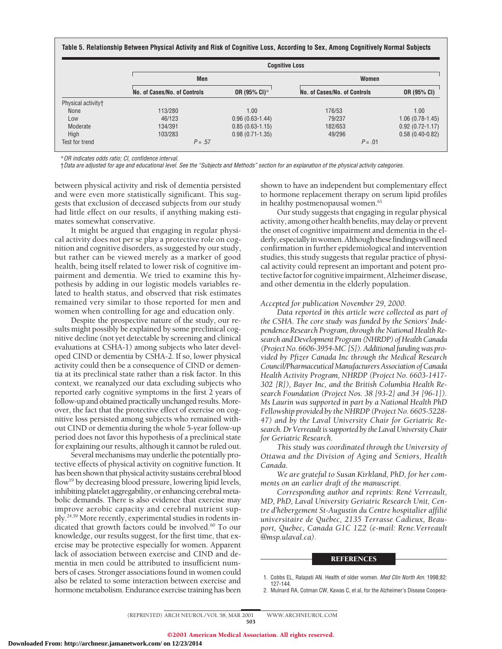|                    | <b>Cognitive Loss</b>        |                     |                              |                     |  |  |  |
|--------------------|------------------------------|---------------------|------------------------------|---------------------|--|--|--|
|                    | Men                          |                     | Women                        |                     |  |  |  |
|                    | No. of Cases/No. of Controls | OR (95% CI)*        | No. of Cases/No. of Controls | OR (95% CI)         |  |  |  |
| Physical activity+ |                              |                     |                              |                     |  |  |  |
| None               | 113/280                      | 1.00                | 176/53                       | 1.00                |  |  |  |
| Low                | 46/123                       | $0.96(0.63 - 1.44)$ | 79/237                       | $1.06(0.78-1.45)$   |  |  |  |
| Moderate           | 134/391                      | $0.85(0.63 - 1.15)$ | 182/653                      | $0.92(0.72 - 1.17)$ |  |  |  |
| High               | 103/283                      | $0.98(0.71-1.35)$   | 49/296                       | $0.58(0.40-0.82)$   |  |  |  |
| Test for trend     | $P = .57$                    |                     | $P = .01$                    |                     |  |  |  |

\*OR indicates odds ratio; CI, confidence interval.

†Data are adjusted for age and educational level. See the "Subjects and Methods" section for an explanation of the physical activity categories.

between physical activity and risk of dementia persisted and were even more statistically significant. This suggests that exclusion of deceased subjects from our study had little effect on our results, if anything making estimates somewhat conservative.

It might be argued that engaging in regular physical activity does not per se play a protective role on cognition and cognitive disorders, as suggested by our study, but rather can be viewed merely as a marker of good health, being itself related to lower risk of cognitive impairment and dementia. We tried to examine this hypothesis by adding in our logistic models variables related to health status, and observed that risk estimates remained very similar to those reported for men and women when controlling for age and education only.

Despite the prospective nature of the study, our results might possibly be explained by some preclinical cognitive decline (not yet detectable by screening and clinical evaluations at CSHA-1) among subjects who later developed CIND or dementia by CSHA-2. If so, lower physical activity could then be a consequence of CIND or dementia at its preclinical state rather than a risk factor. In this context, we reanalyzed our data excluding subjects who reported early cognitive symptoms in the first 2 years of follow-up and obtained practically unchanged results. Moreover, the fact that the protective effect of exercise on cognitive loss persisted among subjects who remained without CIND or dementia during the whole 5-year follow-up period does not favor this hypothesis of a preclinical state for explaining our results, although it cannot be ruled out.

Several mechanisms may underlie the potentially protective effects of physical activity on cognitive function. It has been shown that physical activity sustains cerebral blood flow<sup>19</sup> by decreasing blood pressure, lowering lipid levels, inhibiting platelet aggregability, or enhancing cerebral metabolic demands. There is also evidence that exercise may improve aerobic capacity and cerebral nutrient supply.24,59 More recently, experimental studies in rodents indicated that growth factors could be involved.<sup>60</sup> To our knowledge, our results suggest, for the first time, that exercise may be protective especially for women. Apparent lack of association between exercise and CIND and dementia in men could be attributed to insufficient numbers of cases. Stronger associations found in women could also be related to some interaction between exercise and hormone metabolism. Endurance exercise training has been shown to have an independent but complementary effect to hormone replacement therapy on serum lipid profiles in healthy postmenopausal women.<sup>61</sup>

Our study suggests that engaging in regular physical activity, among other health benefits, may delay or prevent the onset of cognitive impairment and dementia in the elderly, especially in women. Although these findings will need confirmation in further epidemiological and intervention studies, this study suggests that regular practice of physical activity could represent an important and potent protective factor for cognitive impairment, Alzheimer disease, and other dementia in the elderly population.

#### *Accepted for publication November 29, 2000.*

*Data reported in this article were collected as part of the CSHA. The core study was funded by the Seniors' Independence Research Program, through the National Health Research and Development Program (NHRDP) of Health Canada (Project No. 6606-3954-MC [S]). Additional funding was provided by Pfizer Canada Inc through the Medical Research Council/Pharmaceutical Manufacturers Association of Canada Health Activity Program, NHRDP (Project No. 6603-1417- 302 [R]), Bayer Inc, and the British Columbia Health Research Foundation (Project Nos. 38 [93-2] and 34 [96-1]). Ms Laurin was supported in part by a National Health PhD Fellowship provided by the NHRDP (Project No. 6605-5228- 47) and by the Laval University Chair for Geriatric Research. Dr Verreault is supported by the Laval University Chair for Geriatric Research.*

*This study was coordinated through the University of Ottawa and the Division of Aging and Seniors, Health Canada.*

*We are grateful to Susan Kirkland, PhD, for her comments on an earlier draft of the manuscript.*

*Corresponding author and reprints: Rene´ Verreault, MD, PhD, Laval University Geriatric Research Unit, Centre d'he´bergement St-Augustin du Centre hospitalier affilie´* universitaire de Québec, 2135 Terrasse Cadieux, Beau*port, Quebec, Canada G1C 1Z2 (e-mail: Rene.Verreault @msp.ulaval.ca).*

# **REFERENCES**

127-144. 2. Mulnard RA, Cotman CW, Kawas C, et al, for the Alzheimer's Disease Coopera-

(REPRINTED) ARCH NEUROL / VOL 58, MAR 2001 WWW.ARCHNEUROL.COM 503

<sup>1.</sup> Cobbs EL, Ralapati AN. Health of older women. Med Clin North Am. 1998;82: